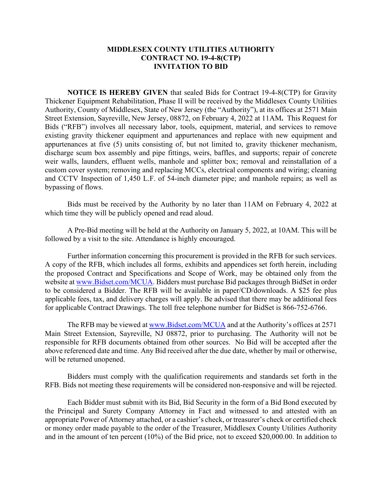## **MIDDLESEX COUNTY UTILITIES AUTHORITY CONTRACT NO. 19-4-8(CTP) INVITATION TO BID**

**NOTICE IS HEREBY GIVEN** that sealed Bids for Contract 19-4-8(CTP) for Gravity Thickener Equipment Rehabilitation, Phase II will be received by the Middlesex County Utilities Authority, County of Middlesex, State of New Jersey (the "Authority"), at its offices at 2571 Main Street Extension, Sayreville, New Jersey, 08872, on February 4, 2022 at 11AM**.** This Request for Bids ("RFB") involves all necessary labor, tools, equipment, material, and services to remove existing gravity thickener equipment and appurtenances and replace with new equipment and appurtenances at five (5) units consisting of, but not limited to, gravity thickener mechanism, discharge scum box assembly and pipe fittings, weirs, baffles, and supports; repair of concrete weir walls, launders, effluent wells, manhole and splitter box; removal and reinstallation of a custom cover system; removing and replacing MCCs, electrical components and wiring; cleaning and CCTV Inspection of 1,450 L.F. of 54-inch diameter pipe; and manhole repairs; as well as bypassing of flows.

Bids must be received by the Authority by no later than 11AM on February 4, 2022 at which time they will be publicly opened and read aloud.

A Pre-Bid meeting will be held at the Authority on January 5, 2022, at 10AM. This will be followed by a visit to the site. Attendance is highly encouraged.

Further information concerning this procurement is provided in the RFB for such services. A copy of the RFB, which includes all forms, exhibits and appendices set forth herein, including the proposed Contract and Specifications and Scope of Work, may be obtained only from the website at [www.Bidset.com/MCUA.](http://www.bidset.com/MCUA) Bidders must purchase Bid packages through BidSet in order to be considered a Bidder. The RFB will be available in paper/CD/downloads. A \$25 fee plus applicable fees, tax, and delivery charges will apply. Be advised that there may be additional fees for applicable Contract Drawings. The toll free telephone number for BidSet is 866-752-6766.

The RFB may be viewed at [www.Bidset.com/MCUA](http://www.bidset.com/MCUA) and at the Authority's offices at 2571 Main Street Extension, Sayreville, NJ 08872, prior to purchasing. The Authority will not be responsible for RFB documents obtained from other sources. No Bid will be accepted after the above referenced date and time. Any Bid received after the due date, whether by mail or otherwise, will be returned unopened.

Bidders must comply with the qualification requirements and standards set forth in the RFB. Bids not meeting these requirements will be considered non-responsive and will be rejected.

Each Bidder must submit with its Bid, Bid Security in the form of a Bid Bond executed by the Principal and Surety Company Attorney in Fact and witnessed to and attested with an appropriate Power of Attorney attached, or a cashier's check, or treasurer's check or certified check or money order made payable to the order of the Treasurer, Middlesex County Utilities Authority and in the amount of ten percent (10%) of the Bid price, not to exceed \$20,000.00. In addition to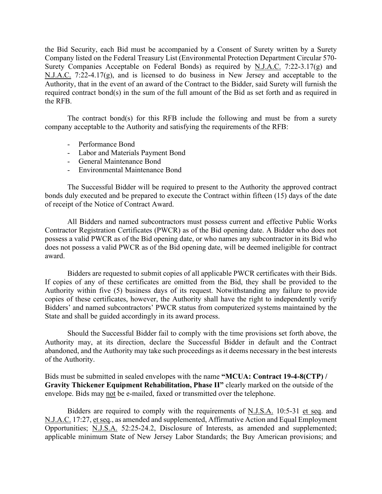the Bid Security, each Bid must be accompanied by a Consent of Surety written by a Surety Company listed on the Federal Treasury List (Environmental Protection Department Circular 570- Surety Companies Acceptable on Federal Bonds) as required by N.J.A.C. 7:22-3.17(g) and N.J.A.C. 7:22-4.17(g), and is licensed to do business in New Jersey and acceptable to the Authority, that in the event of an award of the Contract to the Bidder, said Surety will furnish the required contract bond(s) in the sum of the full amount of the Bid as set forth and as required in the RFB.

The contract bond(s) for this RFB include the following and must be from a surety company acceptable to the Authority and satisfying the requirements of the RFB:

- Performance Bond
- Labor and Materials Payment Bond
- General Maintenance Bond
- Environmental Maintenance Bond

The Successful Bidder will be required to present to the Authority the approved contract bonds duly executed and be prepared to execute the Contract within fifteen (15) days of the date of receipt of the Notice of Contract Award.

All Bidders and named subcontractors must possess current and effective Public Works Contractor Registration Certificates (PWCR) as of the Bid opening date. A Bidder who does not possess a valid PWCR as of the Bid opening date, or who names any subcontractor in its Bid who does not possess a valid PWCR as of the Bid opening date, will be deemed ineligible for contract award.

Bidders are requested to submit copies of all applicable PWCR certificates with their Bids. If copies of any of these certificates are omitted from the Bid, they shall be provided to the Authority within five (5) business days of its request. Notwithstanding any failure to provide copies of these certificates, however, the Authority shall have the right to independently verify Bidders' and named subcontractors' PWCR status from computerized systems maintained by the State and shall be guided accordingly in its award process.

Should the Successful Bidder fail to comply with the time provisions set forth above, the Authority may, at its direction, declare the Successful Bidder in default and the Contract abandoned, and the Authority may take such proceedings as it deems necessary in the best interests of the Authority.

Bids must be submitted in sealed envelopes with the name **"MCUA: Contract 19-4-8(CTP) / Gravity Thickener Equipment Rehabilitation, Phase II"** clearly marked on the outside of the envelope. Bids may not be e-mailed, faxed or transmitted over the telephone.

Bidders are required to comply with the requirements of N.J.S.A. 10:5-31 et seq. and N.J.A.C. 17:27, et seq., as amended and supplemented, Affirmative Action and Equal Employment Opportunities; N.J.S.A. 52:25-24.2, Disclosure of Interests, as amended and supplemented; applicable minimum State of New Jersey Labor Standards; the Buy American provisions; and